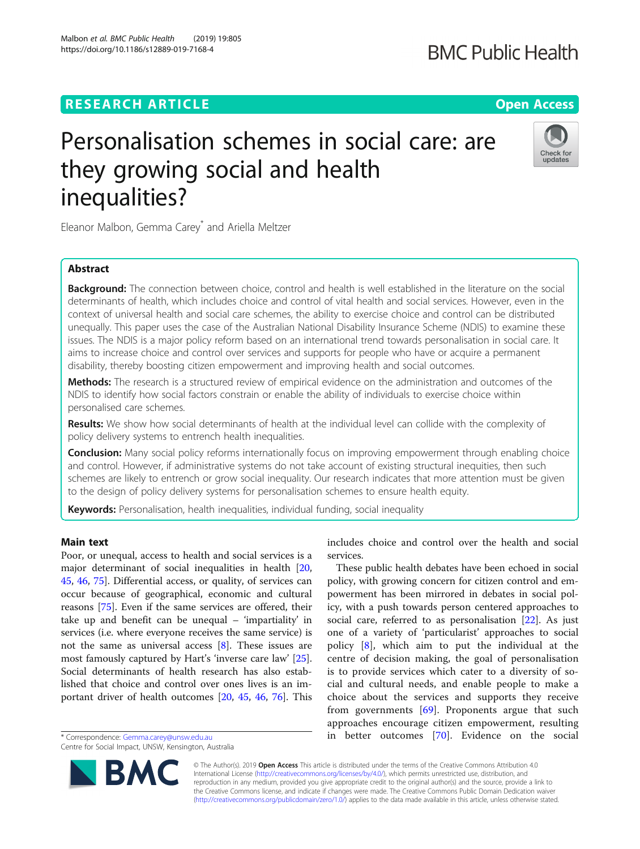## **RESEARCH ARTICLE Example 2014 12:30 The Open Access**

# Personalisation schemes in social care: are they growing social and health inequalities?

Eleanor Malbon, Gemma Carey<sup>\*</sup> and Ariella Meltzer

## Abstract

**Background:** The connection between choice, control and health is well established in the literature on the social determinants of health, which includes choice and control of vital health and social services. However, even in the context of universal health and social care schemes, the ability to exercise choice and control can be distributed unequally. This paper uses the case of the Australian National Disability Insurance Scheme (NDIS) to examine these issues. The NDIS is a major policy reform based on an international trend towards personalisation in social care. It aims to increase choice and control over services and supports for people who have or acquire a permanent disability, thereby boosting citizen empowerment and improving health and social outcomes.

Methods: The research is a structured review of empirical evidence on the administration and outcomes of the NDIS to identify how social factors constrain or enable the ability of individuals to exercise choice within personalised care schemes.

Results: We show how social determinants of health at the individual level can collide with the complexity of policy delivery systems to entrench health inequalities.

**Conclusion:** Many social policy reforms internationally focus on improving empowerment through enabling choice and control. However, if administrative systems do not take account of existing structural inequities, then such schemes are likely to entrench or grow social inequality. Our research indicates that more attention must be given to the design of policy delivery systems for personalisation schemes to ensure health equity.

Keywords: Personalisation, health inequalities, individual funding, social inequality

## Main text

Poor, or unequal, access to health and social services is a major determinant of social inequalities in health [[20](#page-10-0), [45,](#page-11-0) [46,](#page-11-0) [75\]](#page-11-0). Differential access, or quality, of services can occur because of geographical, economic and cultural reasons [\[75\]](#page-11-0). Even if the same services are offered, their take up and benefit can be unequal – 'impartiality' in services (i.e. where everyone receives the same service) is not the same as universal access [[8\]](#page-10-0). These issues are most famously captured by Hart's 'inverse care law' [\[25](#page-10-0)]. Social determinants of health research has also established that choice and control over ones lives is an important driver of health outcomes [[20,](#page-10-0) [45,](#page-11-0) [46](#page-11-0), [76](#page-11-0)]. This

\* Correspondence: [Gemma.carey@unsw.edu.au](mailto:Gemma.carey@unsw.edu.au)

includes choice and control over the health and social services.

These public health debates have been echoed in social policy, with growing concern for citizen control and empowerment has been mirrored in debates in social policy, with a push towards person centered approaches to social care, referred to as personalisation [[22](#page-10-0)]. As just one of a variety of 'particularist' approaches to social policy [\[8](#page-10-0)], which aim to put the individual at the centre of decision making, the goal of personalisation is to provide services which cater to a diversity of social and cultural needs, and enable people to make a choice about the services and supports they receive from governments [[69\]](#page-11-0). Proponents argue that such approaches encourage citizen empowerment, resulting in better outcomes [[70\]](#page-11-0). Evidence on the social

© The Author(s). 2019 **Open Access** This article is distributed under the terms of the Creative Commons Attribution 4.0 International License [\(http://creativecommons.org/licenses/by/4.0/](http://creativecommons.org/licenses/by/4.0/)), which permits unrestricted use, distribution, and reproduction in any medium, provided you give appropriate credit to the original author(s) and the source, provide a link to the Creative Commons license, and indicate if changes were made. The Creative Commons Public Domain Dedication waiver [\(http://creativecommons.org/publicdomain/zero/1.0/](http://creativecommons.org/publicdomain/zero/1.0/)) applies to the data made available in this article, unless otherwise stated.







Centre for Social Impact, UNSW, Kensington, Australia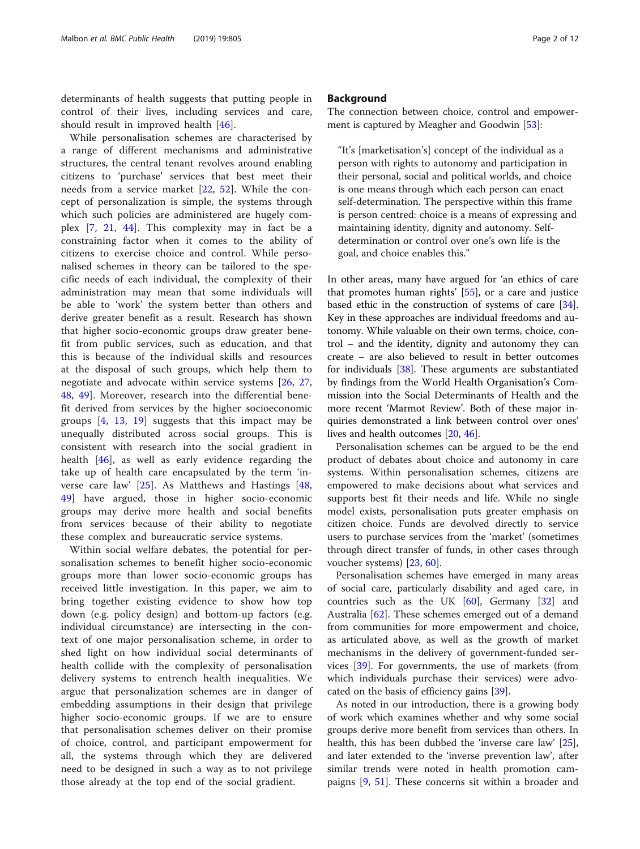determinants of health suggests that putting people in control of their lives, including services and care, should result in improved health [\[46](#page-11-0)].

While personalisation schemes are characterised by a range of different mechanisms and administrative structures, the central tenant revolves around enabling citizens to 'purchase' services that best meet their needs from a service market [[22](#page-10-0), [52\]](#page-11-0). While the concept of personalization is simple, the systems through which such policies are administered are hugely complex [\[7](#page-10-0), [21](#page-10-0), [44\]](#page-11-0). This complexity may in fact be a constraining factor when it comes to the ability of citizens to exercise choice and control. While personalised schemes in theory can be tailored to the specific needs of each individual, the complexity of their administration may mean that some individuals will be able to 'work' the system better than others and derive greater benefit as a result. Research has shown that higher socio-economic groups draw greater benefit from public services, such as education, and that this is because of the individual skills and resources at the disposal of such groups, which help them to negotiate and advocate within service systems [[26,](#page-10-0) [27](#page-10-0), [48,](#page-11-0) [49](#page-11-0)]. Moreover, research into the differential benefit derived from services by the higher socioeconomic groups [[4,](#page-10-0) [13](#page-10-0), [19\]](#page-10-0) suggests that this impact may be unequally distributed across social groups. This is consistent with research into the social gradient in health [[46\]](#page-11-0), as well as early evidence regarding the take up of health care encapsulated by the term 'inverse care law' [\[25](#page-10-0)]. As Matthews and Hastings [\[48](#page-11-0), [49\]](#page-11-0) have argued, those in higher socio-economic groups may derive more health and social benefits from services because of their ability to negotiate these complex and bureaucratic service systems.

Within social welfare debates, the potential for personalisation schemes to benefit higher socio-economic groups more than lower socio-economic groups has received little investigation. In this paper, we aim to bring together existing evidence to show how top down (e.g. policy design) and bottom-up factors (e.g. individual circumstance) are intersecting in the context of one major personalisation scheme, in order to shed light on how individual social determinants of health collide with the complexity of personalisation delivery systems to entrench health inequalities. We argue that personalization schemes are in danger of embedding assumptions in their design that privilege higher socio-economic groups. If we are to ensure that personalisation schemes deliver on their promise of choice, control, and participant empowerment for all, the systems through which they are delivered need to be designed in such a way as to not privilege those already at the top end of the social gradient.

## **Background**

The connection between choice, control and empower-ment is captured by Meagher and Goodwin [[53\]](#page-11-0):

"It's [marketisation's] concept of the individual as a person with rights to autonomy and participation in their personal, social and political worlds, and choice is one means through which each person can enact self-determination. The perspective within this frame is person centred: choice is a means of expressing and maintaining identity, dignity and autonomy. Selfdetermination or control over one's own life is the goal, and choice enables this."

In other areas, many have argued for 'an ethics of care that promotes human rights' [\[55](#page-11-0)], or a care and justice based ethic in the construction of systems of care [\[34](#page-11-0)]. Key in these approaches are individual freedoms and autonomy. While valuable on their own terms, choice, control – and the identity, dignity and autonomy they can create – are also believed to result in better outcomes for individuals [\[38](#page-11-0)]. These arguments are substantiated by findings from the World Health Organisation's Commission into the Social Determinants of Health and the more recent 'Marmot Review'. Both of these major inquiries demonstrated a link between control over ones' lives and health outcomes [\[20,](#page-10-0) [46\]](#page-11-0).

Personalisation schemes can be argued to be the end product of debates about choice and autonomy in care systems. Within personalisation schemes, citizens are empowered to make decisions about what services and supports best fit their needs and life. While no single model exists, personalisation puts greater emphasis on citizen choice. Funds are devolved directly to service users to purchase services from the 'market' (sometimes through direct transfer of funds, in other cases through voucher systems) [\[23,](#page-10-0) [60\]](#page-11-0).

Personalisation schemes have emerged in many areas of social care, particularly disability and aged care, in countries such as the UK [[60\]](#page-11-0), Germany [[32](#page-11-0)] and Australia [[62\]](#page-11-0). These schemes emerged out of a demand from communities for more empowerment and choice, as articulated above, as well as the growth of market mechanisms in the delivery of government-funded services [\[39\]](#page-11-0). For governments, the use of markets (from which individuals purchase their services) were advocated on the basis of efficiency gains [\[39\]](#page-11-0).

As noted in our introduction, there is a growing body of work which examines whether and why some social groups derive more benefit from services than others. In health, this has been dubbed the 'inverse care law' [\[25](#page-10-0)], and later extended to the 'inverse prevention law', after similar trends were noted in health promotion campaigns [[9,](#page-10-0) [51\]](#page-11-0). These concerns sit within a broader and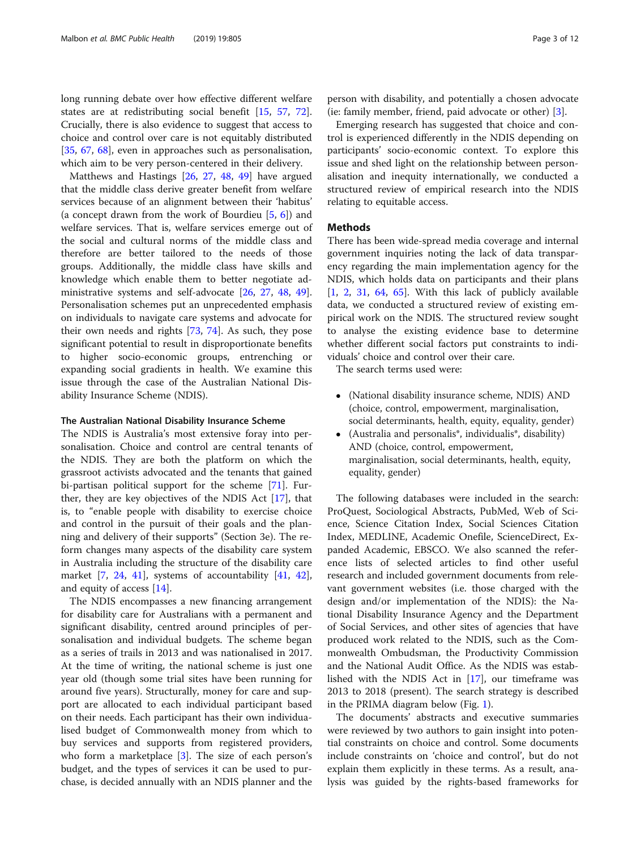long running debate over how effective different welfare states are at redistributing social benefit [[15,](#page-10-0) [57,](#page-11-0) [72](#page-11-0)]. Crucially, there is also evidence to suggest that access to choice and control over care is not equitably distributed [[35,](#page-11-0) [67](#page-11-0), [68\]](#page-11-0), even in approaches such as personalisation, which aim to be very person-centered in their delivery.

Matthews and Hastings [\[26](#page-10-0), [27,](#page-10-0) [48](#page-11-0), [49\]](#page-11-0) have argued that the middle class derive greater benefit from welfare services because of an alignment between their 'habitus' (a concept drawn from the work of Bourdieu [[5](#page-10-0), [6\]](#page-10-0)) and welfare services. That is, welfare services emerge out of the social and cultural norms of the middle class and therefore are better tailored to the needs of those groups. Additionally, the middle class have skills and knowledge which enable them to better negotiate administrative systems and self-advocate [[26,](#page-10-0) [27](#page-10-0), [48,](#page-11-0) [49](#page-11-0)]. Personalisation schemes put an unprecedented emphasis on individuals to navigate care systems and advocate for their own needs and rights [[73,](#page-11-0) [74\]](#page-11-0). As such, they pose significant potential to result in disproportionate benefits to higher socio-economic groups, entrenching or expanding social gradients in health. We examine this issue through the case of the Australian National Disability Insurance Scheme (NDIS).

## The Australian National Disability Insurance Scheme

The NDIS is Australia's most extensive foray into personalisation. Choice and control are central tenants of the NDIS. They are both the platform on which the grassroot activists advocated and the tenants that gained bi-partisan political support for the scheme [[71\]](#page-11-0). Further, they are key objectives of the NDIS Act [\[17](#page-10-0)], that is, to "enable people with disability to exercise choice and control in the pursuit of their goals and the planning and delivery of their supports" (Section 3e). The reform changes many aspects of the disability care system in Australia including the structure of the disability care market [[7,](#page-10-0) [24,](#page-10-0) [41\]](#page-11-0), systems of accountability [\[41](#page-11-0), [42](#page-11-0)], and equity of access [[14\]](#page-10-0).

The NDIS encompasses a new financing arrangement for disability care for Australians with a permanent and significant disability, centred around principles of personalisation and individual budgets. The scheme began as a series of trails in 2013 and was nationalised in 2017. At the time of writing, the national scheme is just one year old (though some trial sites have been running for around five years). Structurally, money for care and support are allocated to each individual participant based on their needs. Each participant has their own individualised budget of Commonwealth money from which to buy services and supports from registered providers, who form a marketplace [\[3\]](#page-10-0). The size of each person's budget, and the types of services it can be used to purchase, is decided annually with an NDIS planner and the person with disability, and potentially a chosen advocate (ie: family member, friend, paid advocate or other) [[3\]](#page-10-0).

Emerging research has suggested that choice and control is experienced differently in the NDIS depending on participants' socio-economic context. To explore this issue and shed light on the relationship between personalisation and inequity internationally, we conducted a structured review of empirical research into the NDIS relating to equitable access.

## **Methods**

There has been wide-spread media coverage and internal government inquiries noting the lack of data transparency regarding the main implementation agency for the NDIS, which holds data on participants and their plans [[1,](#page-10-0) [2,](#page-10-0) [31,](#page-10-0) [64,](#page-11-0) [65\]](#page-11-0). With this lack of publicly available data, we conducted a structured review of existing empirical work on the NDIS. The structured review sought to analyse the existing evidence base to determine whether different social factors put constraints to individuals' choice and control over their care.

The search terms used were:

- (National disability insurance scheme, NDIS) AND (choice, control, empowerment, marginalisation, social determinants, health, equity, equality, gender)
- (Australia and personalis\*, individualis\*, disability) AND (choice, control, empowerment, marginalisation, social determinants, health, equity, equality, gender)

The following databases were included in the search: ProQuest, Sociological Abstracts, PubMed, Web of Science, Science Citation Index, Social Sciences Citation Index, MEDLINE, Academic Onefile, ScienceDirect, Expanded Academic, EBSCO. We also scanned the reference lists of selected articles to find other useful research and included government documents from relevant government websites (i.e. those charged with the design and/or implementation of the NDIS): the National Disability Insurance Agency and the Department of Social Services, and other sites of agencies that have produced work related to the NDIS, such as the Commonwealth Ombudsman, the Productivity Commission and the National Audit Office. As the NDIS was established with the NDIS Act in [[17](#page-10-0)], our timeframe was 2013 to 2018 (present). The search strategy is described in the PRIMA diagram below (Fig. [1\)](#page-3-0).

The documents' abstracts and executive summaries were reviewed by two authors to gain insight into potential constraints on choice and control. Some documents include constraints on 'choice and control', but do not explain them explicitly in these terms. As a result, analysis was guided by the rights-based frameworks for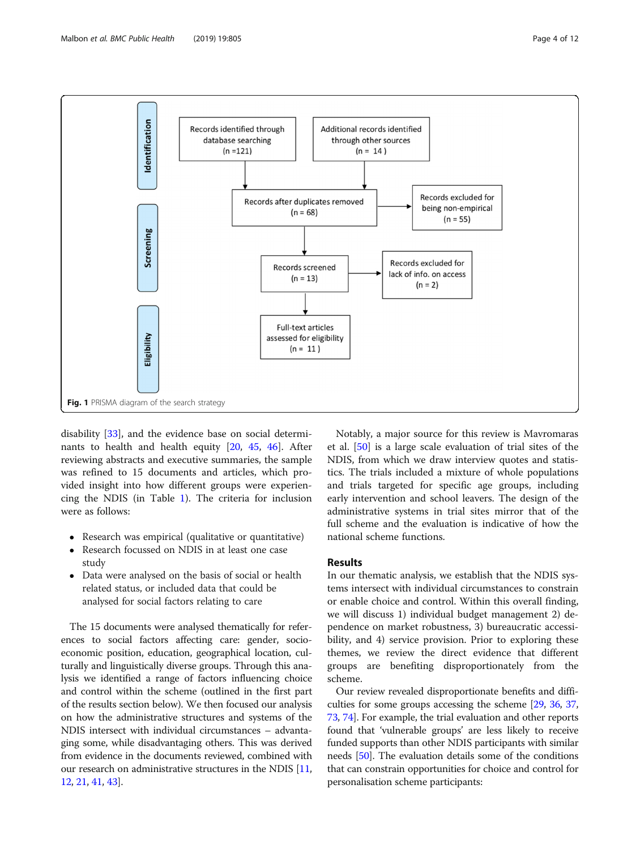<span id="page-3-0"></span>

disability [[33\]](#page-11-0), and the evidence base on social determinants to health and health equity [[20,](#page-10-0) [45](#page-11-0), [46\]](#page-11-0). After reviewing abstracts and executive summaries, the sample was refined to 15 documents and articles, which provided insight into how different groups were experiencing the NDIS (in Table [1](#page-4-0)). The criteria for inclusion were as follows:

- Research was empirical (qualitative or quantitative)
- Research focussed on NDIS in at least one case study
- Data were analysed on the basis of social or health related status, or included data that could be analysed for social factors relating to care

The 15 documents were analysed thematically for references to social factors affecting care: gender, socioeconomic position, education, geographical location, culturally and linguistically diverse groups. Through this analysis we identified a range of factors influencing choice and control within the scheme (outlined in the first part of the results section below). We then focused our analysis on how the administrative structures and systems of the NDIS intersect with individual circumstances – advantaging some, while disadvantaging others. This was derived from evidence in the documents reviewed, combined with our research on administrative structures in the NDIS [[11](#page-10-0), [12](#page-10-0), [21,](#page-10-0) [41](#page-11-0), [43](#page-11-0)].

Notably, a major source for this review is Mavromaras et al. [\[50](#page-11-0)] is a large scale evaluation of trial sites of the NDIS, from which we draw interview quotes and statistics. The trials included a mixture of whole populations and trials targeted for specific age groups, including early intervention and school leavers. The design of the administrative systems in trial sites mirror that of the full scheme and the evaluation is indicative of how the national scheme functions.

## Results

In our thematic analysis, we establish that the NDIS systems intersect with individual circumstances to constrain or enable choice and control. Within this overall finding, we will discuss 1) individual budget management 2) dependence on market robustness, 3) bureaucratic accessibility, and 4) service provision. Prior to exploring these themes, we review the direct evidence that different groups are benefiting disproportionately from the scheme.

Our review revealed disproportionate benefits and difficulties for some groups accessing the scheme [[29](#page-10-0), [36](#page-11-0), [37](#page-11-0), [73](#page-11-0), [74\]](#page-11-0). For example, the trial evaluation and other reports found that 'vulnerable groups' are less likely to receive funded supports than other NDIS participants with similar needs [\[50\]](#page-11-0). The evaluation details some of the conditions that can constrain opportunities for choice and control for personalisation scheme participants: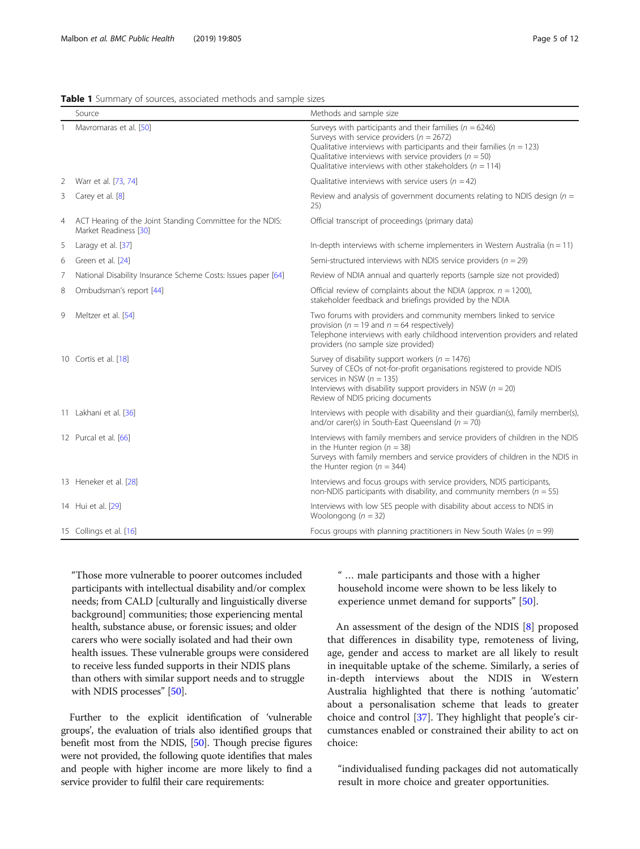<span id="page-4-0"></span>Table 1 Summary of sources, associated methods and sample sizes

|   | Source                                                                             | Methods and sample size                                                                                                                                                                                                                                                                                                 |
|---|------------------------------------------------------------------------------------|-------------------------------------------------------------------------------------------------------------------------------------------------------------------------------------------------------------------------------------------------------------------------------------------------------------------------|
|   | Mavromaras et al. [50]                                                             | Surveys with participants and their families ( $n = 6246$ )<br>Surveys with service providers ( $n = 2672$ )<br>Qualitative interviews with participants and their families ( $n = 123$ )<br>Qualitative interviews with service providers ( $n = 50$ )<br>Qualitative interviews with other stakeholders ( $n = 114$ ) |
| 2 | Warr et al. [73, 74]                                                               | Qualitative interviews with service users ( $n = 42$ )                                                                                                                                                                                                                                                                  |
| 3 | Carey et al. [8]                                                                   | Review and analysis of government documents relating to NDIS design ( $n =$<br>25)                                                                                                                                                                                                                                      |
| 4 | ACT Hearing of the Joint Standing Committee for the NDIS:<br>Market Readiness [30] | Official transcript of proceedings (primary data)                                                                                                                                                                                                                                                                       |
| 5 | Laragy et al. [37]                                                                 | In-depth interviews with scheme implementers in Western Australia ( $n = 11$ )                                                                                                                                                                                                                                          |
| 6 | Green et al. [24]                                                                  | Semi-structured interviews with NDIS service providers ( $n = 29$ )                                                                                                                                                                                                                                                     |
| 7 | National Disability Insurance Scheme Costs: Issues paper [64]                      | Review of NDIA annual and quarterly reports (sample size not provided)                                                                                                                                                                                                                                                  |
| 8 | Ombudsman's report [44]                                                            | Official review of complaints about the NDIA (approx. $n = 1200$ ),<br>stakeholder feedback and briefings provided by the NDIA                                                                                                                                                                                          |
| 9 | Meltzer et al. [54]                                                                | Two forums with providers and community members linked to service<br>provision ( $n = 19$ and $n = 64$ respectively)<br>Telephone interviews with early childhood intervention providers and related<br>providers (no sample size provided)                                                                             |
|   | 10 Cortis et al. [18]                                                              | Survey of disability support workers ( $n = 1476$ )<br>Survey of CEOs of not-for-profit organisations registered to provide NDIS<br>services in NSW ( $n = 135$ )<br>Interviews with disability support providers in NSW ( $n = 20$ )<br>Review of NDIS pricing documents                                               |
|   | 11 Lakhani et al. [36]                                                             | Interviews with people with disability and their quardian(s), family member(s),<br>and/or carer(s) in South-East Queensland ( $n = 70$ )                                                                                                                                                                                |
|   | 12 Purcal et al. [66]                                                              | Interviews with family members and service providers of children in the NDIS<br>in the Hunter region ( $n = 38$ )<br>Surveys with family members and service providers of children in the NDIS in<br>the Hunter region ( $n = 344$ )                                                                                    |
|   | 13 Heneker et al. [28]                                                             | Interviews and focus groups with service providers, NDIS participants,<br>non-NDIS participants with disability, and community members ( $n = 55$ )                                                                                                                                                                     |
|   | 14 Hui et al. [29]                                                                 | Interviews with low SES people with disability about access to NDIS in<br>Woolongong ( $n = 32$ )                                                                                                                                                                                                                       |
|   | 15 Collings et al. [16]                                                            | Focus groups with planning practitioners in New South Wales ( $n = 99$ )                                                                                                                                                                                                                                                |

"Those more vulnerable to poorer outcomes included participants with intellectual disability and/or complex needs; from CALD [culturally and linguistically diverse background] communities; those experiencing mental health, substance abuse, or forensic issues; and older carers who were socially isolated and had their own health issues. These vulnerable groups were considered to receive less funded supports in their NDIS plans than others with similar support needs and to struggle with NDIS processes" [\[50\]](#page-11-0).

Further to the explicit identification of 'vulnerable groups', the evaluation of trials also identified groups that benefit most from the NDIS, [\[50\]](#page-11-0). Though precise figures were not provided, the following quote identifies that males and people with higher income are more likely to find a service provider to fulfil their care requirements:

" … male participants and those with a higher household income were shown to be less likely to experience unmet demand for supports" [\[50\]](#page-11-0).

An assessment of the design of the NDIS [[8](#page-10-0)] proposed that differences in disability type, remoteness of living, age, gender and access to market are all likely to result in inequitable uptake of the scheme. Similarly, a series of in-depth interviews about the NDIS in Western Australia highlighted that there is nothing 'automatic' about a personalisation scheme that leads to greater choice and control [[37\]](#page-11-0). They highlight that people's circumstances enabled or constrained their ability to act on choice:

"individualised funding packages did not automatically result in more choice and greater opportunities.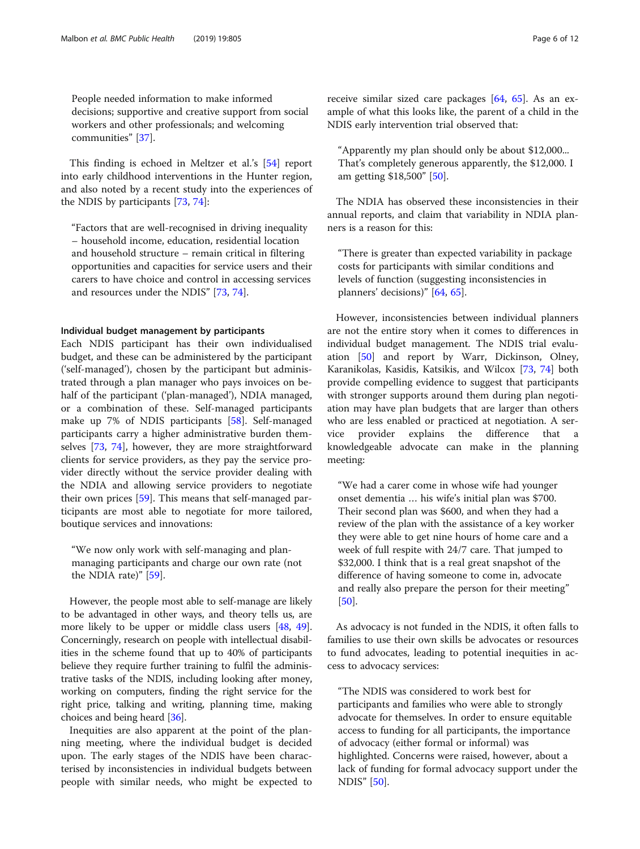People needed information to make informed decisions; supportive and creative support from social workers and other professionals; and welcoming communities" [\[37](#page-11-0)].

This finding is echoed in Meltzer et al.'s [[54\]](#page-11-0) report into early childhood interventions in the Hunter region, and also noted by a recent study into the experiences of the NDIS by participants [[73,](#page-11-0) [74\]](#page-11-0):

"Factors that are well-recognised in driving inequality – household income, education, residential location and household structure – remain critical in filtering opportunities and capacities for service users and their carers to have choice and control in accessing services and resources under the NDIS" [[73](#page-11-0), [74](#page-11-0)].

### Individual budget management by participants

Each NDIS participant has their own individualised budget, and these can be administered by the participant ('self-managed'), chosen by the participant but administrated through a plan manager who pays invoices on behalf of the participant ('plan-managed'), NDIA managed, or a combination of these. Self-managed participants make up 7% of NDIS participants [[58\]](#page-11-0). Self-managed participants carry a higher administrative burden themselves [[73](#page-11-0), [74\]](#page-11-0), however, they are more straightforward clients for service providers, as they pay the service provider directly without the service provider dealing with the NDIA and allowing service providers to negotiate their own prices [\[59](#page-11-0)]. This means that self-managed participants are most able to negotiate for more tailored, boutique services and innovations:

"We now only work with self-managing and planmanaging participants and charge our own rate (not the NDIA rate)" [[59\]](#page-11-0).

However, the people most able to self-manage are likely to be advantaged in other ways, and theory tells us, are more likely to be upper or middle class users [\[48](#page-11-0), [49](#page-11-0)]. Concerningly, research on people with intellectual disabilities in the scheme found that up to 40% of participants believe they require further training to fulfil the administrative tasks of the NDIS, including looking after money, working on computers, finding the right service for the right price, talking and writing, planning time, making choices and being heard [[36](#page-11-0)].

Inequities are also apparent at the point of the planning meeting, where the individual budget is decided upon. The early stages of the NDIS have been characterised by inconsistencies in individual budgets between people with similar needs, who might be expected to receive similar sized care packages [[64,](#page-11-0) [65](#page-11-0)]. As an example of what this looks like, the parent of a child in the NDIS early intervention trial observed that:

"Apparently my plan should only be about \$12,000... That's completely generous apparently, the \$12,000. I am getting \$18,500" [[50](#page-11-0)].

The NDIA has observed these inconsistencies in their annual reports, and claim that variability in NDIA planners is a reason for this:

"There is greater than expected variability in package costs for participants with similar conditions and levels of function (suggesting inconsistencies in planners' decisions)" [[64](#page-11-0), [65](#page-11-0)].

However, inconsistencies between individual planners are not the entire story when it comes to differences in individual budget management. The NDIS trial evaluation [\[50](#page-11-0)] and report by Warr, Dickinson, Olney, Karanikolas, Kasidis, Katsikis, and Wilcox [[73,](#page-11-0) [74\]](#page-11-0) both provide compelling evidence to suggest that participants with stronger supports around them during plan negotiation may have plan budgets that are larger than others who are less enabled or practiced at negotiation. A service provider explains the difference that a knowledgeable advocate can make in the planning meeting:

"We had a carer come in whose wife had younger onset dementia … his wife's initial plan was \$700. Their second plan was \$600, and when they had a review of the plan with the assistance of a key worker they were able to get nine hours of home care and a week of full respite with 24/7 care. That jumped to \$32,000. I think that is a real great snapshot of the difference of having someone to come in, advocate and really also prepare the person for their meeting" [[50\]](#page-11-0).

As advocacy is not funded in the NDIS, it often falls to families to use their own skills be advocates or resources to fund advocates, leading to potential inequities in access to advocacy services:

"The NDIS was considered to work best for participants and families who were able to strongly advocate for themselves. In order to ensure equitable access to funding for all participants, the importance of advocacy (either formal or informal) was highlighted. Concerns were raised, however, about a lack of funding for formal advocacy support under the NDIS" [\[50](#page-11-0)].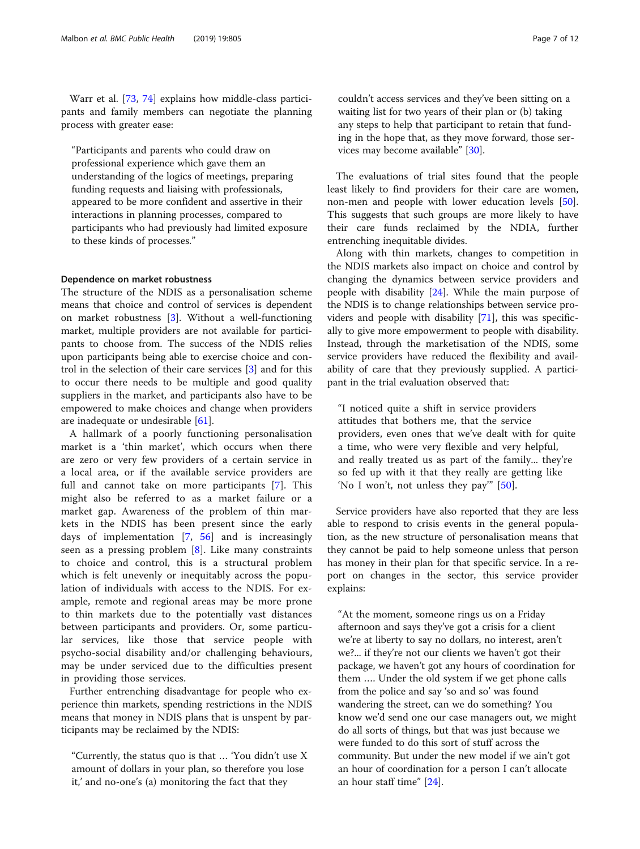Warr et al. [[73,](#page-11-0) [74](#page-11-0)] explains how middle-class participants and family members can negotiate the planning process with greater ease:

"Participants and parents who could draw on professional experience which gave them an understanding of the logics of meetings, preparing funding requests and liaising with professionals, appeared to be more confident and assertive in their interactions in planning processes, compared to participants who had previously had limited exposure to these kinds of processes."

## Dependence on market robustness

The structure of the NDIS as a personalisation scheme means that choice and control of services is dependent on market robustness [[3\]](#page-10-0). Without a well-functioning market, multiple providers are not available for participants to choose from. The success of the NDIS relies upon participants being able to exercise choice and control in the selection of their care services [[3](#page-10-0)] and for this to occur there needs to be multiple and good quality suppliers in the market, and participants also have to be empowered to make choices and change when providers are inadequate or undesirable [\[61](#page-11-0)].

A hallmark of a poorly functioning personalisation market is a 'thin market', which occurs when there are zero or very few providers of a certain service in a local area, or if the available service providers are full and cannot take on more participants [[7\]](#page-10-0). This might also be referred to as a market failure or a market gap. Awareness of the problem of thin markets in the NDIS has been present since the early days of implementation [\[7](#page-10-0), [56](#page-11-0)] and is increasingly seen as a pressing problem [\[8](#page-10-0)]. Like many constraints to choice and control, this is a structural problem which is felt unevenly or inequitably across the population of individuals with access to the NDIS. For example, remote and regional areas may be more prone to thin markets due to the potentially vast distances between participants and providers. Or, some particular services, like those that service people with psycho-social disability and/or challenging behaviours, may be under serviced due to the difficulties present in providing those services.

Further entrenching disadvantage for people who experience thin markets, spending restrictions in the NDIS means that money in NDIS plans that is unspent by participants may be reclaimed by the NDIS:

"Currently, the status quo is that … 'You didn't use X amount of dollars in your plan, so therefore you lose it,' and no-one's (a) monitoring the fact that they

couldn't access services and they've been sitting on a waiting list for two years of their plan or (b) taking any steps to help that participant to retain that funding in the hope that, as they move forward, those services may become available" [\[30](#page-10-0)].

The evaluations of trial sites found that the people least likely to find providers for their care are women, non-men and people with lower education levels [\[50](#page-11-0)]. This suggests that such groups are more likely to have their care funds reclaimed by the NDIA, further entrenching inequitable divides.

Along with thin markets, changes to competition in the NDIS markets also impact on choice and control by changing the dynamics between service providers and people with disability [\[24](#page-10-0)]. While the main purpose of the NDIS is to change relationships between service providers and people with disability [[71\]](#page-11-0), this was specifically to give more empowerment to people with disability. Instead, through the marketisation of the NDIS, some service providers have reduced the flexibility and availability of care that they previously supplied. A participant in the trial evaluation observed that:

"I noticed quite a shift in service providers attitudes that bothers me, that the service providers, even ones that we've dealt with for quite a time, who were very flexible and very helpful, and really treated us as part of the family... they're so fed up with it that they really are getting like 'No I won't, not unless they pay'" [\[50](#page-11-0)].

Service providers have also reported that they are less able to respond to crisis events in the general population, as the new structure of personalisation means that they cannot be paid to help someone unless that person has money in their plan for that specific service. In a report on changes in the sector, this service provider explains:

"At the moment, someone rings us on a Friday afternoon and says they've got a crisis for a client we're at liberty to say no dollars, no interest, aren't we?... if they're not our clients we haven't got their package, we haven't got any hours of coordination for them …. Under the old system if we get phone calls from the police and say 'so and so' was found wandering the street, can we do something? You know we'd send one our case managers out, we might do all sorts of things, but that was just because we were funded to do this sort of stuff across the community. But under the new model if we ain't got an hour of coordination for a person I can't allocate an hour staff time" [[24\]](#page-10-0).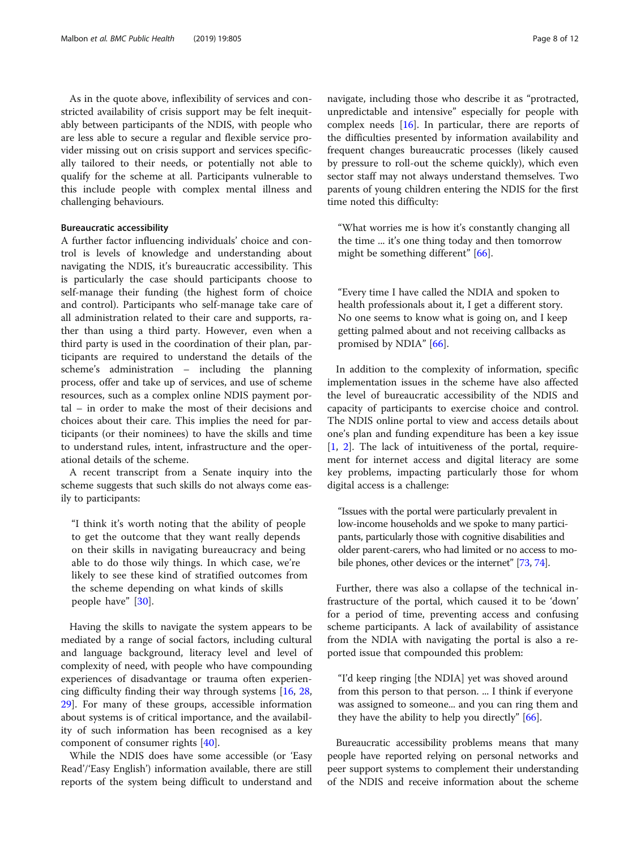As in the quote above, inflexibility of services and constricted availability of crisis support may be felt inequitably between participants of the NDIS, with people who are less able to secure a regular and flexible service provider missing out on crisis support and services specifically tailored to their needs, or potentially not able to qualify for the scheme at all. Participants vulnerable to this include people with complex mental illness and challenging behaviours.

## Bureaucratic accessibility

A further factor influencing individuals' choice and control is levels of knowledge and understanding about navigating the NDIS, it's bureaucratic accessibility. This is particularly the case should participants choose to self-manage their funding (the highest form of choice and control). Participants who self-manage take care of all administration related to their care and supports, rather than using a third party. However, even when a third party is used in the coordination of their plan, participants are required to understand the details of the scheme's administration – including the planning process, offer and take up of services, and use of scheme resources, such as a complex online NDIS payment portal – in order to make the most of their decisions and choices about their care. This implies the need for participants (or their nominees) to have the skills and time to understand rules, intent, infrastructure and the operational details of the scheme.

A recent transcript from a Senate inquiry into the scheme suggests that such skills do not always come easily to participants:

"I think it's worth noting that the ability of people to get the outcome that they want really depends on their skills in navigating bureaucracy and being able to do those wily things. In which case, we're likely to see these kind of stratified outcomes from the scheme depending on what kinds of skills people have" [[30\]](#page-10-0).

Having the skills to navigate the system appears to be mediated by a range of social factors, including cultural and language background, literacy level and level of complexity of need, with people who have compounding experiences of disadvantage or trauma often experiencing difficulty finding their way through systems [\[16](#page-10-0), [28](#page-10-0), [29\]](#page-10-0). For many of these groups, accessible information about systems is of critical importance, and the availability of such information has been recognised as a key component of consumer rights [[40](#page-11-0)].

While the NDIS does have some accessible (or 'Easy Read'/'Easy English') information available, there are still reports of the system being difficult to understand and navigate, including those who describe it as "protracted, unpredictable and intensive" especially for people with complex needs [\[16\]](#page-10-0). In particular, there are reports of the difficulties presented by information availability and frequent changes bureaucratic processes (likely caused by pressure to roll-out the scheme quickly), which even sector staff may not always understand themselves. Two parents of young children entering the NDIS for the first time noted this difficulty:

"What worries me is how it's constantly changing all the time ... it's one thing today and then tomorrow might be something different" [[66\]](#page-11-0).

"Every time I have called the NDIA and spoken to health professionals about it, I get a different story. No one seems to know what is going on, and I keep getting palmed about and not receiving callbacks as promised by NDIA" [[66\]](#page-11-0).

In addition to the complexity of information, specific implementation issues in the scheme have also affected the level of bureaucratic accessibility of the NDIS and capacity of participants to exercise choice and control. The NDIS online portal to view and access details about one's plan and funding expenditure has been a key issue [[1,](#page-10-0) [2\]](#page-10-0). The lack of intuitiveness of the portal, requirement for internet access and digital literacy are some key problems, impacting particularly those for whom digital access is a challenge:

"Issues with the portal were particularly prevalent in low-income households and we spoke to many participants, particularly those with cognitive disabilities and older parent-carers, who had limited or no access to mobile phones, other devices or the internet" [[73](#page-11-0), [74](#page-11-0)].

Further, there was also a collapse of the technical infrastructure of the portal, which caused it to be 'down' for a period of time, preventing access and confusing scheme participants. A lack of availability of assistance from the NDIA with navigating the portal is also a reported issue that compounded this problem:

"I'd keep ringing [the NDIA] yet was shoved around from this person to that person. ... I think if everyone was assigned to someone... and you can ring them and they have the ability to help you directly" [\[66](#page-11-0)].

Bureaucratic accessibility problems means that many people have reported relying on personal networks and peer support systems to complement their understanding of the NDIS and receive information about the scheme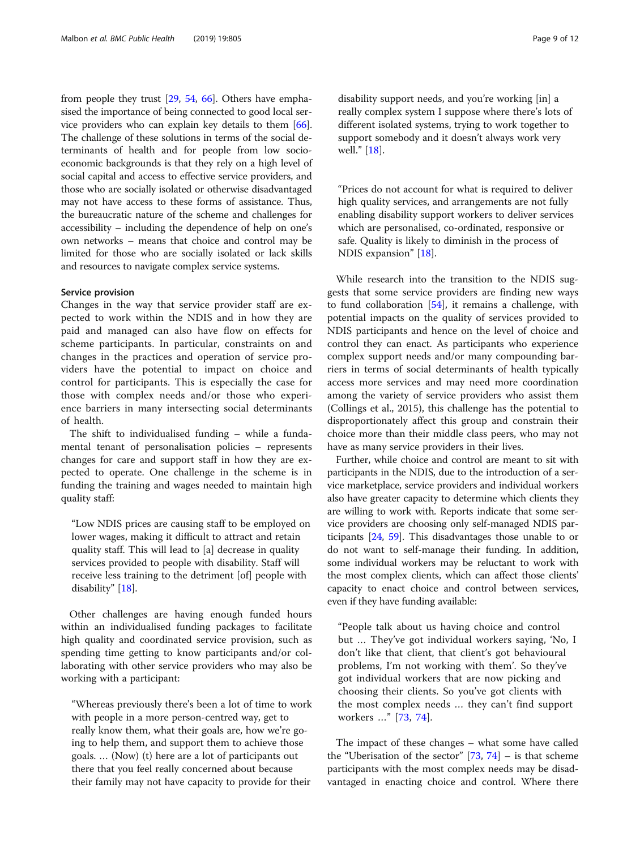from people they trust [[29](#page-10-0), [54,](#page-11-0) [66](#page-11-0)]. Others have emphasised the importance of being connected to good local service providers who can explain key details to them [[66](#page-11-0)]. The challenge of these solutions in terms of the social determinants of health and for people from low socioeconomic backgrounds is that they rely on a high level of social capital and access to effective service providers, and those who are socially isolated or otherwise disadvantaged may not have access to these forms of assistance. Thus, the bureaucratic nature of the scheme and challenges for accessibility – including the dependence of help on one's own networks – means that choice and control may be limited for those who are socially isolated or lack skills and resources to navigate complex service systems.

## Service provision

Changes in the way that service provider staff are expected to work within the NDIS and in how they are paid and managed can also have flow on effects for scheme participants. In particular, constraints on and changes in the practices and operation of service providers have the potential to impact on choice and control for participants. This is especially the case for those with complex needs and/or those who experience barriers in many intersecting social determinants of health.

The shift to individualised funding – while a fundamental tenant of personalisation policies – represents changes for care and support staff in how they are expected to operate. One challenge in the scheme is in funding the training and wages needed to maintain high quality staff:

"Low NDIS prices are causing staff to be employed on lower wages, making it difficult to attract and retain quality staff. This will lead to [a] decrease in quality services provided to people with disability. Staff will receive less training to the detriment [of] people with disability" [[18\]](#page-10-0).

Other challenges are having enough funded hours within an individualised funding packages to facilitate high quality and coordinated service provision, such as spending time getting to know participants and/or collaborating with other service providers who may also be working with a participant:

"Whereas previously there's been a lot of time to work with people in a more person-centred way, get to really know them, what their goals are, how we're going to help them, and support them to achieve those goals. … (Now) (t) here are a lot of participants out there that you feel really concerned about because their family may not have capacity to provide for their

disability support needs, and you're working [in] a really complex system I suppose where there's lots of different isolated systems, trying to work together to support somebody and it doesn't always work very well." [[18\]](#page-10-0).

"Prices do not account for what is required to deliver high quality services, and arrangements are not fully enabling disability support workers to deliver services which are personalised, co-ordinated, responsive or safe. Quality is likely to diminish in the process of NDIS expansion" [\[18](#page-10-0)].

While research into the transition to the NDIS suggests that some service providers are finding new ways to fund collaboration [\[54](#page-11-0)], it remains a challenge, with potential impacts on the quality of services provided to NDIS participants and hence on the level of choice and control they can enact. As participants who experience complex support needs and/or many compounding barriers in terms of social determinants of health typically access more services and may need more coordination among the variety of service providers who assist them (Collings et al., 2015), this challenge has the potential to disproportionately affect this group and constrain their choice more than their middle class peers, who may not have as many service providers in their lives.

Further, while choice and control are meant to sit with participants in the NDIS, due to the introduction of a service marketplace, service providers and individual workers also have greater capacity to determine which clients they are willing to work with. Reports indicate that some service providers are choosing only self-managed NDIS participants [[24](#page-10-0), [59](#page-11-0)]. This disadvantages those unable to or do not want to self-manage their funding. In addition, some individual workers may be reluctant to work with the most complex clients, which can affect those clients' capacity to enact choice and control between services, even if they have funding available:

"People talk about us having choice and control but … They've got individual workers saying, 'No, I don't like that client, that client's got behavioural problems, I'm not working with them'. So they've got individual workers that are now picking and choosing their clients. So you've got clients with the most complex needs … they can't find support workers …" [[73](#page-11-0), [74](#page-11-0)].

The impact of these changes – what some have called the "Uberisation of the sector"  $[73, 74]$  $[73, 74]$  $[73, 74]$  $[73, 74]$  – is that scheme participants with the most complex needs may be disadvantaged in enacting choice and control. Where there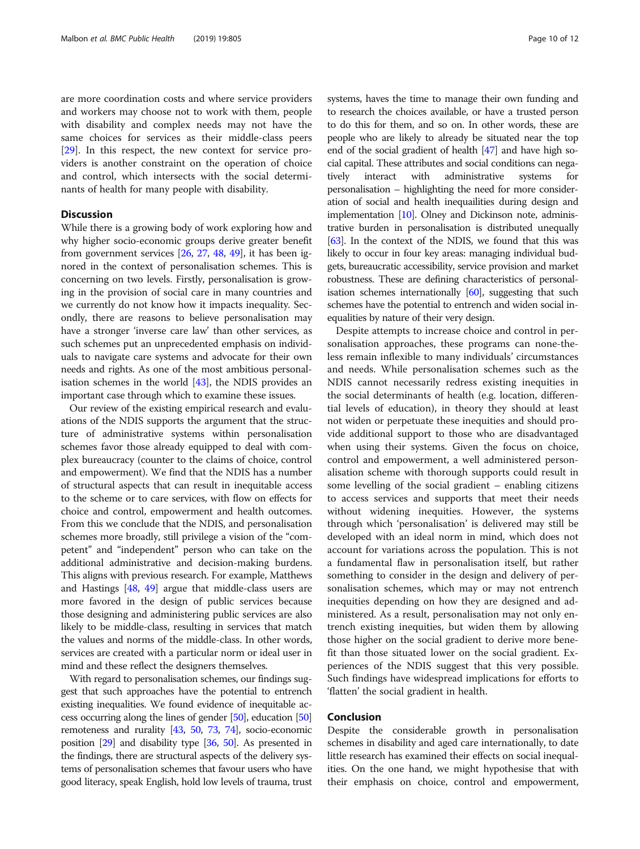are more coordination costs and where service providers and workers may choose not to work with them, people with disability and complex needs may not have the same choices for services as their middle-class peers [[29\]](#page-10-0). In this respect, the new context for service providers is another constraint on the operation of choice and control, which intersects with the social determinants of health for many people with disability.

## **Discussion**

While there is a growing body of work exploring how and why higher socio-economic groups derive greater benefit from government services [\[26](#page-10-0), [27](#page-10-0), [48](#page-11-0), [49](#page-11-0)], it has been ignored in the context of personalisation schemes. This is concerning on two levels. Firstly, personalisation is growing in the provision of social care in many countries and we currently do not know how it impacts inequality. Secondly, there are reasons to believe personalisation may have a stronger 'inverse care law' than other services, as such schemes put an unprecedented emphasis on individuals to navigate care systems and advocate for their own needs and rights. As one of the most ambitious personalisation schemes in the world [\[43\]](#page-11-0), the NDIS provides an important case through which to examine these issues.

Our review of the existing empirical research and evaluations of the NDIS supports the argument that the structure of administrative systems within personalisation schemes favor those already equipped to deal with complex bureaucracy (counter to the claims of choice, control and empowerment). We find that the NDIS has a number of structural aspects that can result in inequitable access to the scheme or to care services, with flow on effects for choice and control, empowerment and health outcomes. From this we conclude that the NDIS, and personalisation schemes more broadly, still privilege a vision of the "competent" and "independent" person who can take on the additional administrative and decision-making burdens. This aligns with previous research. For example, Matthews and Hastings [\[48](#page-11-0), [49](#page-11-0)] argue that middle-class users are more favored in the design of public services because those designing and administering public services are also likely to be middle-class, resulting in services that match the values and norms of the middle-class. In other words, services are created with a particular norm or ideal user in mind and these reflect the designers themselves.

With regard to personalisation schemes, our findings suggest that such approaches have the potential to entrench existing inequalities. We found evidence of inequitable access occurring along the lines of gender [\[50](#page-11-0)], education [\[50](#page-11-0)] remoteness and rurality [\[43,](#page-11-0) [50,](#page-11-0) [73,](#page-11-0) [74](#page-11-0)], socio-economic position [\[29\]](#page-10-0) and disability type [\[36,](#page-11-0) [50](#page-11-0)]. As presented in the findings, there are structural aspects of the delivery systems of personalisation schemes that favour users who have good literacy, speak English, hold low levels of trauma, trust systems, haves the time to manage their own funding and to research the choices available, or have a trusted person to do this for them, and so on. In other words, these are people who are likely to already be situated near the top end of the social gradient of health [\[47\]](#page-11-0) and have high social capital. These attributes and social conditions can negatively interact with administrative systems for personalisation – highlighting the need for more consideration of social and health inequailities during design and implementation [[10](#page-10-0)]. Olney and Dickinson note, administrative burden in personalisation is distributed unequally [[63](#page-11-0)]. In the context of the NDIS, we found that this was likely to occur in four key areas: managing individual budgets, bureaucratic accessibility, service provision and market robustness. These are defining characteristics of personalisation schemes internationally [\[60\]](#page-11-0), suggesting that such schemes have the potential to entrench and widen social inequalities by nature of their very design.

Despite attempts to increase choice and control in personalisation approaches, these programs can none-theless remain inflexible to many individuals' circumstances and needs. While personalisation schemes such as the NDIS cannot necessarily redress existing inequities in the social determinants of health (e.g. location, differential levels of education), in theory they should at least not widen or perpetuate these inequities and should provide additional support to those who are disadvantaged when using their systems. Given the focus on choice, control and empowerment, a well administered personalisation scheme with thorough supports could result in some levelling of the social gradient – enabling citizens to access services and supports that meet their needs without widening inequities. However, the systems through which 'personalisation' is delivered may still be developed with an ideal norm in mind, which does not account for variations across the population. This is not a fundamental flaw in personalisation itself, but rather something to consider in the design and delivery of personalisation schemes, which may or may not entrench inequities depending on how they are designed and administered. As a result, personalisation may not only entrench existing inequities, but widen them by allowing those higher on the social gradient to derive more benefit than those situated lower on the social gradient. Experiences of the NDIS suggest that this very possible. Such findings have widespread implications for efforts to 'flatten' the social gradient in health.

## Conclusion

Despite the considerable growth in personalisation schemes in disability and aged care internationally, to date little research has examined their effects on social inequalities. On the one hand, we might hypothesise that with their emphasis on choice, control and empowerment,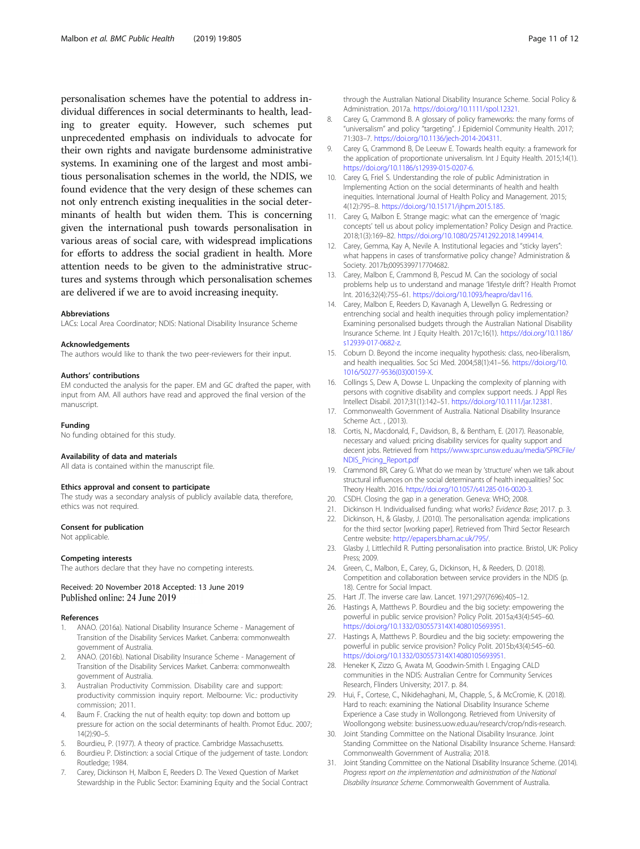<span id="page-10-0"></span>personalisation schemes have the potential to address individual differences in social determinants to health, leading to greater equity. However, such schemes put unprecedented emphasis on individuals to advocate for their own rights and navigate burdensome administrative systems. In examining one of the largest and most ambitious personalisation schemes in the world, the NDIS, we found evidence that the very design of these schemes can not only entrench existing inequalities in the social determinants of health but widen them. This is concerning given the international push towards personalisation in various areas of social care, with widespread implications for efforts to address the social gradient in health. More attention needs to be given to the administrative structures and systems through which personalisation schemes are delivered if we are to avoid increasing inequity.

#### Abbreviations

LACs: Local Area Coordinator; NDIS: National Disability Insurance Scheme

#### Acknowledgements

The authors would like to thank the two peer-reviewers for their input.

#### Authors' contributions

EM conducted the analysis for the paper. EM and GC drafted the paper, with input from AM. All authors have read and approved the final version of the manuscript.

#### Funding

No funding obtained for this study.

### Availability of data and materials

All data is contained within the manuscript file.

## Ethics approval and consent to participate

The study was a secondary analysis of publicly available data, therefore, ethics was not required.

#### Consent for publication

Not applicable.

#### Competing interests

The authors declare that they have no competing interests.

#### Received: 20 November 2018 Accepted: 13 June 2019 Published online: 24 June 2019

#### References

- 1. ANAO. (2016a). National Disability Insurance Scheme Management of Transition of the Disability Services Market. Canberra: commonwealth government of Australia.
- 2. ANAO. (2016b). National Disability Insurance Scheme Management of Transition of the Disability Services Market. Canberra: commonwealth government of Australia.
- Australian Productivity Commission. Disability care and support: productivity commission inquiry report. Melbourne: Vic.: productivity commission; 2011.
- 4. Baum F. Cracking the nut of health equity: top down and bottom up pressure for action on the social determinants of health. Promot Educ. 2007; 14(2):90–5.
- 5. Bourdieu, P. (1977). A theory of practice. Cambridge Massachusetts.
- 6. Bourdieu P. Distinction: a social Crtique of the judgement of taste. London: Routledge; 1984.
- 7. Carey, Dickinson H, Malbon E, Reeders D. The Vexed Question of Market Stewardship in the Public Sector: Examining Equity and the Social Contract

through the Australian National Disability Insurance Scheme. Social Policy & Administration. 2017a. <https://doi.org/10.1111/spol.12321>.

- Carey G, Crammond B. A glossary of policy frameworks: the many forms of "universalism" and policy "targeting". J Epidemiol Community Health. 2017; 71:303–7. [https://doi.org/10.1136/jech-2014-204311.](https://doi.org/10.1136/jech-2014-204311)
- 9. Carey G, Crammond B, De Leeuw E. Towards health equity: a framework for the application of proportionate universalism. Int J Equity Health. 2015;14(1). <https://doi.org/10.1186/s12939-015-0207-6>.
- 10. Carey G, Friel S. Understanding the role of public Administration in Implementing Action on the social determinants of health and health inequities. International Journal of Health Policy and Management. 2015; 4(12):795–8. [https://doi.org/10.15171/ijhpm.2015.185.](https://doi.org/10.15171/ijhpm.2015.185)
- 11. Carey G, Malbon E. Strange magic: what can the emergence of 'magic concepts' tell us about policy implementation? Policy Design and Practice. 2018;1(3):169–82. [https://doi.org/10.1080/25741292.2018.1499414.](https://doi.org/10.1080/25741292.2018.1499414)
- 12. Carey, Gemma, Kay A, Nevile A. Institutional legacies and "sticky layers": what happens in cases of transformative policy change? Administration & Society. 2017b;0095399717704682.
- 13. Carey, Malbon E, Crammond B, Pescud M. Can the sociology of social problems help us to understand and manage 'lifestyle drift'? Health Promot Int. 2016;32(4):755–61. [https://doi.org/10.1093/heapro/dav116.](https://doi.org/10.1093/heapro/dav116)
- 14. Carey, Malbon E, Reeders D, Kavanagh A, Llewellyn G. Redressing or entrenching social and health inequities through policy implementation? Examining personalised budgets through the Australian National Disability Insurance Scheme. Int J Equity Health. 2017c;16(1). [https://doi.org/10.1186/](https://doi.org/10.1186/s12939-017-0682-z) [s12939-017-0682-z](https://doi.org/10.1186/s12939-017-0682-z).
- 15. Coburn D. Beyond the income inequality hypothesis: class, neo-liberalism, and health inequalities. Soc Sci Med. 2004;58(1):41–56. [https://doi.org/10.](https://doi.org/10.1016/S0277-9536(03)00159-X) [1016/S0277-9536\(03\)00159-X](https://doi.org/10.1016/S0277-9536(03)00159-X).
- 16. Collings S, Dew A, Dowse L. Unpacking the complexity of planning with persons with cognitive disability and complex support needs. J Appl Res Intellect Disabil. 2017;31(1):142–51. [https://doi.org/10.1111/jar.12381.](https://doi.org/10.1111/jar.12381)
- 17. Commonwealth Government of Australia. National Disability Insurance Scheme Act. , (2013).
- 18. Cortis, N., Macdonald, F., Davidson, B., & Bentham, E. (2017). Reasonable, necessary and valued: pricing disability services for quality support and decent jobs. Retrieved from [https://www.sprc.unsw.edu.au/media/SPRCFile/](https://www.sprc.unsw.edu.au/media/SPRCFile/NDIS_Pricing_Report.pdf) [NDIS\\_Pricing\\_Report.pdf](https://www.sprc.unsw.edu.au/media/SPRCFile/NDIS_Pricing_Report.pdf)
- 19. Crammond BR, Carey G. What do we mean by 'structure' when we talk about structural influences on the social determinants of health inequalities? Soc Theory Health. 2016. [https://doi.org/10.1057/s41285-016-0020-3.](https://doi.org/10.1057/s41285-016-0020-3)
- 20. CSDH. Closing the gap in a generation. Geneva: WHO; 2008.
- Dickinson H. Individualised funding: what works? Evidence Base; 2017. p. 3.
- 22. Dickinson, H., & Glasby, J. (2010). The personalisation agenda: implications for the third sector [working paper]. Retrieved from Third Sector Research Centre website: [http://epapers.bham.ac.uk/795/.](http://epapers.bham.ac.uk/795/)
- 23. Glasby J, Littlechild R. Putting personalisation into practice. Bristol, UK: Policy Press; 2009.
- 24. Green, C., Malbon, E., Carey, G., Dickinson, H., & Reeders, D. (2018). Competition and collaboration between service providers in the NDIS (p. 18). Centre for Social Impact.
- 25. Hart JT. The inverse care law. Lancet. 1971;297(7696):405–12.
- 26. Hastings A, Matthews P. Bourdieu and the big society: empowering the powerful in public service provision? Policy Polit. 2015a;43(4):545–60. <https://doi.org/10.1332/030557314X14080105693951>.
- 27. Hastings A, Matthews P. Bourdieu and the big society: empowering the powerful in public service provision? Policy Polit. 2015b;43(4):545–60. <https://doi.org/10.1332/030557314X14080105693951>.
- 28. Heneker K, Zizzo G, Awata M, Goodwin-Smith I. Engaging CALD communities in the NDIS: Australian Centre for Community Services Research, Flinders University; 2017. p. 84.
- 29. Hui, F., Cortese, C., Nikidehaghani, M., Chapple, S., & McCromie, K. (2018). Hard to reach: examining the National Disability Insurance Scheme Experience a Case study in Wollongong. Retrieved from University of Woollongong website: business.uow.edu.au/research/crop/ndis-research.
- 30. Joint Standing Committee on the National Disability Insurance. Joint Standing Committee on the National Disability Insurance Scheme. Hansard: Commonwealth Government of Australia; 2018.
- 31. Joint Standing Committee on the National Disability Insurance Scheme. (2014). Progress report on the implementation and administration of the National Disability Insurance Scheme. Commonwealth Government of Australia.